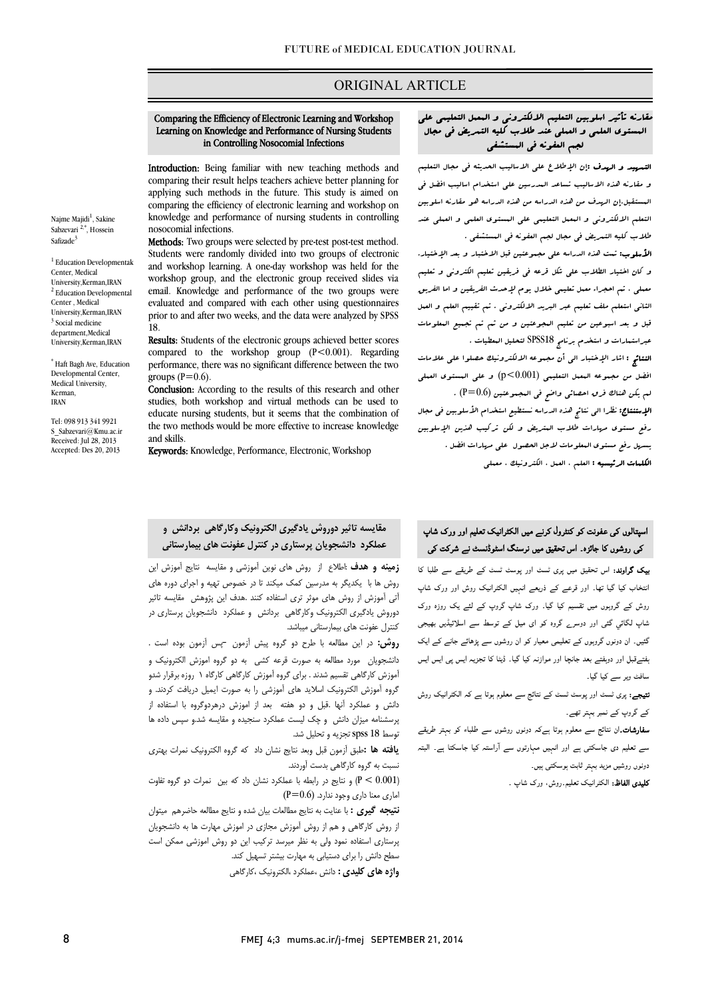## ORIGINAL ARTICLE

#### Learning on Knowledge and Performance of Nursing Students in Controlling Nosocomial Infections Comparing the Efficiency of Electronic Learning and Workshop

Ī

Introduction: Being familiar with new teaching methods and comparing their result helps teachers achieve better planning for applying such methods in the future. This study is aimed on knowledge and performance of nursing students in controlling comparing the efficiency of electronic learning and workshop on nosocomial infections.

 Methods: Two groups were selected by pre-test post-test method. and workshop learning. A one-day workshop was held for the workshop group, and the electronic group received slides via evaluated and compared with each other using questionnaires prior to and after two weeks, and the data were analyzed by SPSS Students were randomly divided into two groups of electronic email. Knowledge and performance of the two groups were 18.

18.<br>**Results:** Students of the electronic groups achieved better scores compared to the workshop group  $(P<0.001)$ . Regarding performance, there was no significant difference between the two groups  $(P=0.6)$ .

groups (1–0.0).<br>**Conclusion:** According to the results of this research and other studies, both workshop and virtual methods can be used to educate nursing students, but it seems that the combination of the two methods would be more effective to increase knowledge<br>and skills and skills.

Keywords: Knowledge, Performance, Electronic, Workshop

# مقارنه تأثیر اسلوبین التعلیم الالکترونی و المعمل التعلیمی علی المستوي العلمی و العملی عند طلاب کلیه التمریض فی مجال لجم العفونه فی المستشفی

Ī

 التمهید و الهدف :إن الإطلاع علی الاسالیب الحدیثه فی مجال التعلیم و مقارنه هذه الاسالیب تساعد المدرسین علی استخدام اسالیب افضل فی المستقبل.إن الهدف من هذه الدراسه من هذه الدراسه هو مقارنه اسلوبین التعلم الالکترونی و المعمل التعلیمی علی المستوي العلمی و العملی عند طلاب کلیه التمریض فی مجال لجم العفونه فی المستشفی .

 الأسلوب: تمت هذه الدراسه علی مجموعتین قبل الاختبار و بعد الإختیار. و کان اختیار الطلاب علی شکل قرعه فی فریقین تعلیم الکترونی و تعلیم معملی ، تم احجراء معمل تعلیمی خلال یوم لإحدث الفریقین و اما الفریق الثانی استعلم ملف تعلیم عبر البرید الالکترونی . تم تقییم العلم و العمل قبل و بعد اسبوعین من تعلیم المجوعتین و من ثم تم تجمیع المعلومات عبراستمارات و استخدم برنامج 18SPSS لتحلیل المعطیات .

 النتائج : اشار الإختبار الی أن مجموعه الالکترونیک حصلوا علی علامات افضل من مجموعه المعمل التعلیمی (0.001>p (و علی المستوي العملی لم یکن هناك فرق احصائی واضح فی المجموعتین (0.6=P (. الإستنتاج: نظرا الی نتائج هذه الدراسه نستطیع استخدام الأسلوبین فی مجال

 رفع مستوي مهارات طلاب المتریض و لکن ترکیب هذین الإسلوبین یسهل رفع مستوي المعلومات لاجل الحصول علی مهارات افضل . الکلمات الرئیسیه : العلم ، العمل ، الکترونیک ، معملی

# اسپتالوں کی عفونت کو کنٹرول کرنے میں الکٹرانیک تعلیم اور ورک شاپ کی روشوں کا جائزہ۔ اس تحقیق میں نرسنگ اسٹوڈنسٹ نے شرکت کی<br>۔

**یک گراوند:** اس تحقیق میں پری ٹسٹ اور پوسٹ ٹسٹ کے طریقے سے طلبا کا انتخاب کیا گیا تھا۔ اور قرعے کے ذریعے انہیں الکٹرانیک روش اور ورک شاپ روش کے گروپوں میں تقسیم کیا گیا۔ ورک شاپ گروپ کے لئے یک روزہ ورک شاپ لگائی گئی اور دوسرے گروہ کو ای میل کے توسط سے اسلائیڈیں بھیجی گئیں۔ ان دونوں گروپوں کے تعلیمی معیار کو ان روشوں سے پڑھائے جانے کے ایک فتےقبل اور دوہفتے بعد جانچا اور موازنہ کیا گیا۔ ڈیٹا کا تجزیہ ایس پی ایس ایس سافٹ ویر سے کیا گیا۔

**تیجے:** پری ٹسٹ اور پوسٹ ٹسٹ کے نتائج سے معلوم ہوتا ہے کہ الکٹرانیک روش کے گروپ کے نمبر بہتر تھے۔

۔<br>**سفارشات**۔ان نتائج سے معلوم ہوتا ہےکہ دونوں روشوں سے طلباء کو بہتر طریقے ۔<br>سے تعلیم دی جاسکتی ہے اور انہیں مہارتوں سے آراستہ کیا جاسکتا ہے۔ البتہ د<br>دونوں روشیں مزید بہتر ثابت ہوسکتی ہیں۔

۔<br>**کلیدی الفاظ:** الکٹرانیک تعلیم روش، ورک شاپ ۔

#### ֞ عملکرد دانشجویان پرستاري در کنترل عفونت هاي بیمارستانی مقایسه تاثیر دوروش یادگیري الکترونیک وکارگاهی بردانش و

 زمینه و هدف :اطلاع از روش هاي نوین آموزشی و مقایسه نتایج آموزش این روش ها با یکدیگر به مدرسین کمک میکند تا در خصوص تهیه و اجراي دوره هاي دی مورس از روس دور کوبار است.<br>دوروش یادگیری الکترونیک وکارگاهی بردانش و عملکرد دانشجویان پرستاری در کنترل عفونت هاي بیمارستانی میباشد. آتی آموزش از روش هاي موثر تري استفاده کنند .هدف این پژوهش مقایسه تاثیر

 روش: در این مطالعه با طرح دو گروه پیش آزمون –پس آزمون بوده است . دانشجویان مورد مطالعه به صورت قرعه کشی به دو گروه اموزش الکترونیک و آموزش کارگاهی تقسیم شدند . براي گروه آموزش کارگاهی کارگاه 1 روزه برقرار شدو گروه آموزش الکترونیک اسلاید هاي آموزشی را به صورت ایمیل دریافت کردند. و دانش و عملکرد آنها .قبل و دو هفته بعد از اموزش درهردوگروه با استفاده از پرسشنامه میزان دانش و چک لیست عملکرد سنجیده و مقایسه شد.و سپس داده ها توسط 18 spss تجزیه و تحلیل شد.

نسبت به گروه کارگاهی بدست آوردند.

و نتایج در رابطه با عملکرد نشان داد که بین  $\,$  نمرات دو گروه تفاوت  $\,$ اماري معنا داري وجود ندارد. (0.6=P (

 نتیجه گیري : با عنایت به نتایج مطالعات بیان شده و نتایج مطالعه حاضرهم میتوان از روش کارگاهی و هم از روش آموزش مجازي در اموزش مهارت ها به دانشجویان پرستاري استفاده نمود ولی به نظر میرسد ترکیب این دو روش اموزشی ممکن است سطح دانش را براي دستیابی به مهارت بیشتر تسهیل کند.

**واژه هاي کليدي :** دانش ،عملکرد ،الکترونيک ،کارگاهي

بوست -- --<sub>1--</sub>بر<sub>ته</sub> و -<sub>-س</sub>ی سته<br>**یافته ها :**طبق آزمون قبل وبعد نتایج نشان داد که گروه الکترونیک نمرات بهتری

FMEJ 4;3 mums.ac.ir/j-fmej SEPTEMBER 21, 2014

<sup>1</sup> Education Developmentak Center, Medical University,Kerman,IRAN <sup>2</sup> Education Developmental Center , Medical University,Kerman,IRAN <sup>3</sup> Social medicine department,Medical University,Kerman,IRAN

\* Haft Bagh Ave, Education Developmental Center, Medical University, Kerman, IRAN

Tel: 098 913 341 9921 S\_Sabzevari@Kmu.ac.ir Received: Jul 28, 2013 Accepted: Des 20, 2013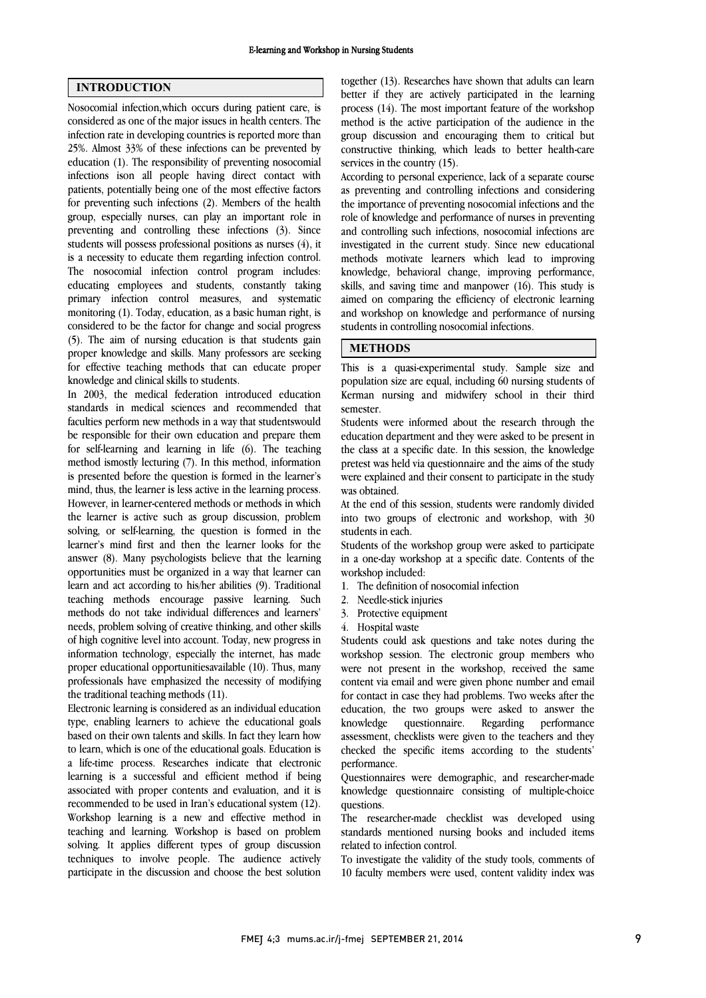### INTRODUCTION

Nosocomial infection,which occurs during patient care, is considered as one of the major issues in health centers. The infection rate in developing countries is reported more than 25%. Almost 33% of these infections can be prevented by education (1). The responsibility of preventing nosocomial infections ison all people having direct contact with patients, potentially being one of the most effective factors for preventing such infections (2). Members of the health group, especially nurses, can play an important role in preventing and controlling these infections (3). Since students will possess professional positions as nurses (4), it is a necessity to educate them regarding infection control. The nosocomial infection control program includes: educating employees and students, constantly taking primary infection control measures, and systematic monitoring (1). Today, education, as a basic human right, is considered to be the factor for change and social progress (5). The aim of nursing education is that students gain proper knowledge and skills. Many professors are seeking for effective teaching methods that can educate proper knowledge and clinical skills to students.

In 2003, the medical federation introduced education standards in medical sciences and recommended that faculties perform new methods in a way that studentswould be responsible for their own education and prepare them for self-learning and learning in life (6). The teaching method ismostly lecturing (7). In this method, information is presented before the question is formed in the learner's mind, thus, the learner is less active in the learning process. However, in learner-centered methods or methods in which the learner is active such as group discussion, problem solving, or self-learning, the question is formed in the learner's mind first and then the learner looks for the answer (8). Many psychologists believe that the learning opportunities must be organized in a way that learner can learn and act according to his/her abilities (9). Traditional teaching methods encourage passive learning. Such methods do not take individual differences and learners' needs, problem solving of creative thinking, and other skills of high cognitive level into account. Today, new progress in information technology, especially the internet, has made proper educational opportunitiesavailable (10). Thus, many professionals have emphasized the necessity of modifying the traditional teaching methods (11).

Electronic learning is considered as an individual education type, enabling learners to achieve the educational goals based on their own talents and skills. In fact they learn how to learn, which is one of the educational goals. Education is a life-time process. Researches indicate that electronic learning is a successful and efficient method if being associated with proper contents and evaluation, and it is recommended to be used in Iran's educational system (12). Workshop learning is a new and effective method in teaching and learning. Workshop is based on problem solving. It applies different types of group discussion techniques to involve people. The audience actively participate in the discussion and choose the best solution  together (13). Researches have shown that adults can learn better if they are actively participated in the learning process (14). The most important feature of the workshop method is the active participation of the audience in the constructive thinking, which leads to better health-care services in the country (15). group discussion and encouraging them to critical but

 According to personal experience, lack of a separate course as preventing and controlling infections and considering role of knowledge and performance of nurses in preventing and controlling such infections, nosocomial infections are investigated in the current study. Since new educational methods motivate learners which lead to improving skills, and saving time and manpower (16). This study is aimed on comparing the efficiency of electronic learning and workshop on knowledge and performance of nursing students in controlling nosocomial infections. the importance of preventing nosocomial infections and the knowledge, behavioral change, improving performance,

### METHODS

 This is a quasi-experimental study. Sample size and population size are equal, including 60 nursing students of Kerman nursing and midwifery school in their third semester.

 Students were informed about the research through the education department and they were asked to be present in the class at a specific date. In this session, the knowledge pretest was held via questionnaire and the aims of the study was obtained. were explained and their consent to participate in the study

 At the end of this session, students were randomly divided into two groups of electronic and workshop, with 30 students in each.

 in a one-day workshop at a specific date. Contents of the workshop included: Students of the workshop group were asked to participate

- 1. The definition of nosocomial infection
- 2. Needle-stick injuries
- 3. Protective equipment
- 4. Hospital waste

 Students could ask questions and take notes during the workshop session. The electronic group members who were not present in the workshop, received the same for contact in case they had problems. Two weeks after the education, the two groups were asked to answer the knowledge assessment, checklists were given to the teachers and they performance. content via email and were given phone number and email questionnaire. Regarding performance checked the specific items according to the students'

 Questionnaires were demographic, and researcher-made knowledge questionnaire consisting of multiple-choice questions.

 The researcher-made checklist was developed using standards mentioned nursing books and included items related to infection control.

 To investigate the validity of the study tools, comments of 10 faculty members were used, content validity index was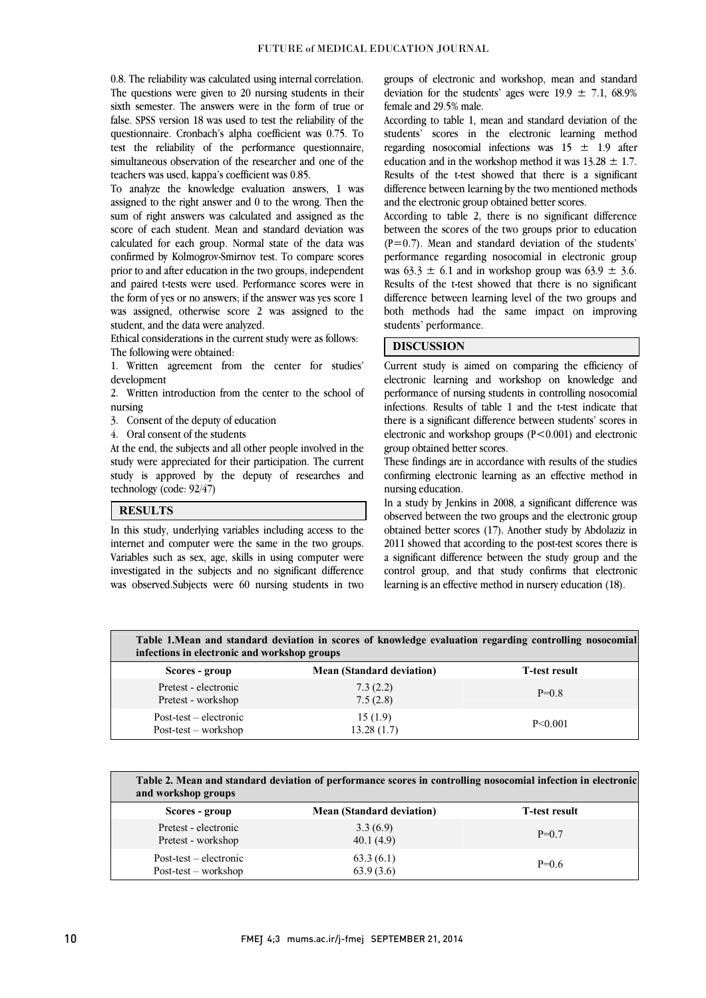0.8. The reliability was calculated using internal correlation. The questions were given to 20 nursing students in their sixth semester. The answers were in the form of true or questionnaire. Cronbach's alpha coefficient was 0.75. To test the reliability of the performance questionnaire, simultaneous observation of the researcher and one of the false. SPSS version 18 was used to test the reliability of the teachers was used, kappa's coefficient was 0.85.

 To analyze the knowledge evaluation answers, 1 was sum of right answers was calculated and assigned as the score of each student. Mean and standard deviation was calculated for each group. Normal state of the data was prior to and after education in the two groups, independent and paired t-tests were used. Performance scores were in the form of yes or no answers; if the answer was yes score 1 was assigned, otherwise score 2 was assigned to the assigned to the right answer and 0 to the wrong. Then the confirmed by Kolmogrov-Smirnov test. To compare scores student, and the data were analyzed.

 Ethical considerations in the current study were as follows: The following were obtained:

 1. Written agreement from the center for studies' development

 2. Written introduction from the center to the school of nursing

- 3. Consent of the deputy of education
- 4. Oral consent of the students

 At the end, the subjects and all other people involved in the study were appreciated for their participation. The current study were appreciated for their participation. The current technology (code: 92/47)

> ֺ  $\overline{\phantom{a}}$

### **RESULTS**

 In this study, underlying variables including access to the Variables such as sex, age, skills in using computer were investigated in the subjects and no significant difference was observed.Subjects were 60 nursing students in two internet and computer were the same in the two groups.

 groups of electronic and workshop, mean and standard deviation for the students' ages were  $19.9 \pm 7.1$ , 68.9% female and 29.5% male.

students' scores in the electronic learning method regarding nosocomial infections was  $15 \pm 1.9$  after education and in the workshop method it was  $13.28 \pm 1.7$ . Results of the t-test showed that there is a significant difference between learning by the two mentioned methods According to table 1, mean and standard deviation of the and the electronic group obtained better scores.

According to table 2, there is no significant difference between the scores of the two groups prior to education  $(P=0.7)$ . Mean and standard deviation of the students' was  $63.3 \pm 6.1$  and in workshop group was  $63.9 \pm 3.6$ . Results of the t-test showed that there is no significant difference between learning level of the two groups and both methods had the same impact on improving performance regarding nosocomial in electronic group students' performance.

### DISCUSSION

 Current study is aimed on comparing the efficiency of electronic learning and workshop on knowledge and infections. Results of table 1 and the t-test indicate that there is a significant difference between students' scores in electronic and workshop groups (P<0.001) and electronic performance of nursing students in controlling nosocomial group obtained better scores.

 confirming electronic learning as an effective method in These findings are in accordance with results of the studies nursing education.

 In a study by Jenkins in 2008, a significant difference was observed between the two groups and the electronic group obtained better scores (17). Another study by Abdolaziz in a significant difference between the study group and the control group, and that study confirms that electronic learning is an effective method in nursery education (18). 2011 showed that according to the post-test scores there is

 Table 1.Mean and standard deviation in scores of knowledge evaluation regarding controlling nosocomial infections in electronic and workshop groups

| Scores - group                                     | <b>Mean (Standard deviation)</b> | T-test result |
|----------------------------------------------------|----------------------------------|---------------|
| Pretest - electronic<br>Pretest - workshop         | 7.3(2.2)<br>7.5(2.8)             | $P=0.8$       |
| $Post-test - electronic$<br>$Post-test - workshop$ | 15(1.9)<br>13.28(1.7)            | $P \le 0.001$ |
|                                                    |                                  |               |

 Table 2. Mean and standard deviation of performance scores in controlling nosocomial infection in electronic and workshop groups

| Scores - group                                     | <b>Mean (Standard deviation)</b> | T-test result |
|----------------------------------------------------|----------------------------------|---------------|
| Pretest - electronic<br>Pretest - workshop         | 3.3(6.9)<br>40.1(4.9)            | $P=0.7$       |
| $Post-test - electronic$<br>$Post-test - workshop$ | 63.3(6.1)<br>63.9(3.6)           | $P=0.6$       |
|                                                    |                                  |               |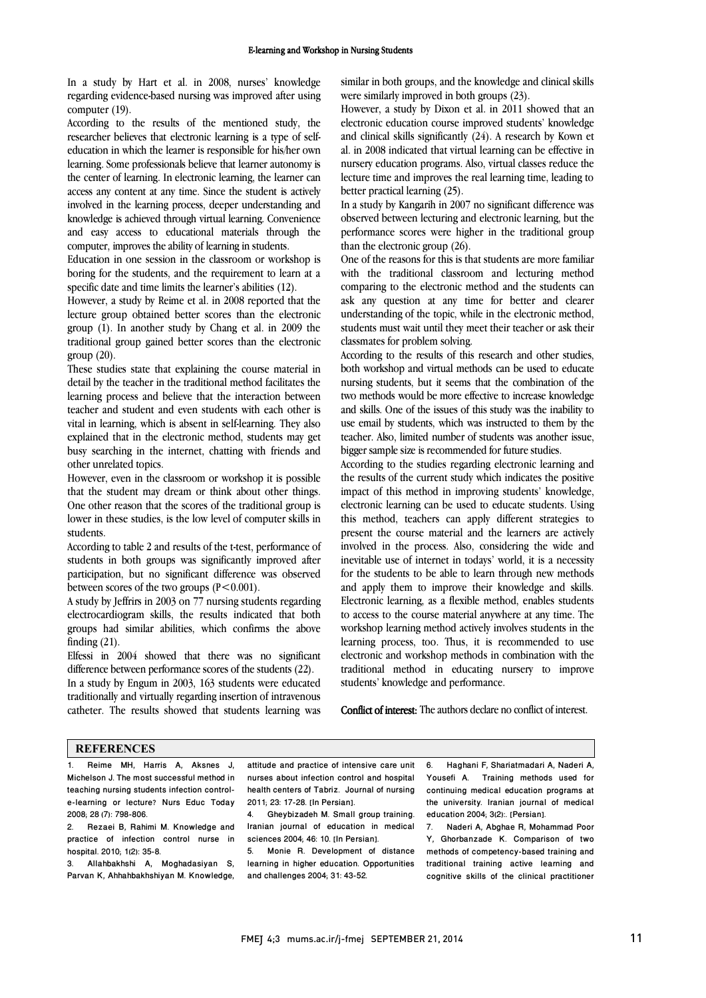In a study by Hart et al. in 2008, nurses' knowledge regarding evidence-based nursing was improved after using computer (19).

According to the results of the mentioned study, the researcher believes that electronic learning is a type of selfeducation in which the learner is responsible for his/her own learning. Some professionals believe that learner autonomy is the center of learning. In electronic learning, the learner can access any content at any time. Since the student is actively involved in the learning process, deeper understanding and knowledge is achieved through virtual learning. Convenience and easy access to educational materials through the computer, improves the ability of learning in students.

Education in one session in the classroom or workshop is boring for the students, and the requirement to learn at a specific date and time limits the learner's abilities (12).

However, a study by Reime et al. in 2008 reported that the lecture group obtained better scores than the electronic group (1). In another study by Chang et al. in 2009 the traditional group gained better scores than the electronic group (20).

These studies state that explaining the course material in detail by the teacher in the traditional method facilitates the learning process and believe that the interaction between teacher and student and even students with each other is vital in learning, which is absent in self-learning. They also explained that in the electronic method, students may get busy searching in the internet, chatting with friends and other unrelated topics.

However, even in the classroom or workshop it is possible that the student may dream or think about other things. One other reason that the scores of the traditional group is lower in these studies, is the low level of computer skills in students.

According to table 2 and results of the t-test, performance of students in both groups was significantly improved after participation, but no significant difference was observed between scores of the two groups  $(P<0.001)$ .

A study by Jeffrirs in 2003 on 77 nursing students regarding electrocardiogram skills, the results indicated that both groups had similar abilities, which confirms the above finding (21).

Elfessi in 2004 showed that there was no significant difference between performance scores of the students (22).

In a study by Engum in 2003, 163 students were educated traditionally and virtually regarding insertion of intravenous catheter. The results showed that students learning was  similar in both groups, and the knowledge and clinical skills were similarly improved in both groups (23).

 However, a study by Dixon et al. in 2011 showed that an electronic education course improved students' knowledge al. in 2008 indicated that virtual learning can be effective in nursery education programs. Also, virtual classes reduce the lecture time and improves the real learning time, leading to better practical learning (25). and clinical skills significantly (24). A research by Kown et

 observed between lecturing and electronic learning, but the performance scores were higher in the traditional group than the electronic group (26). In a study by Kangarih in 2007 no significant difference was

 One of the reasons for this is that students are more familiar comparing to the electronic method and the students can ask any question at any time for better and clearer understanding of the topic, while in the electronic method, students must wait until they meet their teacher or ask their with the traditional classroom and lecturing method classmates for problem solving.

 According to the results of this research and other studies, both workshop and virtual methods can be used to educate nursing students, but it seems that the combination of the two methods would be more effective to increase knowledge use email by students, which was instructed to them by the teacher. Also, limited number of students was another issue, bigger sample size is recommended for future studies. and skills. One of the issues of this study was the inability to

 According to the studies regarding electronic learning and impact of this method in improving students' knowledge, electronic learning can be used to educate students. Using this method, teachers can apply different strategies to present the course material and the learners are actively inevitable use of internet in todays' world, it is a necessity for the students to be able to learn through new methods and apply them to improve their knowledge and skills. Electronic learning, as a flexible method, enables students workshop learning method actively involves students in the learning process, too. Thus, it is recommended to use electronic and workshop methods in combination with the traditional method in educating nursery to improve students' knowledge and performance. the results of the current study which indicates the positive involved in the process. Also, considering the wide and to access to the course material anywhere at any time. The

Conflict of interest: The authors declare no conflict of interest.

#### **REFERENCES**

1. Reime MH, Harris A, Aksnes J, Michelson J. The most successful method in teaching nursing students infection controle-learning or lecture? Nurs Educ Today 2008; 28 (7): 798-806.

2. Rezaei B, Rahimi M. Knowledge and practice of infection control nurse in hospital. 2010; 1(2): 35-8.

3. Allahbakhshi A, Moghadasiyan S, Parvan K, Ahhahbakhshiyan M. Knowledge,

 attitude and practice of intensive care unit nurses about infection control and hospital health centers of Tabriz. Journal of nursing 2011; 23: 17-28. [In Persian].

j

 4. Gheybizadeh M. Small group training. Iranian journal of education in medical sciences 2004; 46: 10. [In Persian].

 5. Monie R. Development of distance learning in higher education. Opportunities and challenges 2004; 31: 43-52.

6. Haghani F, Shariatmadari A, Naderi A, Yousefi A. Training methods used for continuing medical education programs at the university. Iranian journal of medical education 2004; 3(2):. [Persian].

7. Naderi A, Abghae R, Mohammad Poor Y, Ghorbanzade K. Comparison of two methods of competency-based training and traditional training active learning and cognitive skills of the clinical practitioner